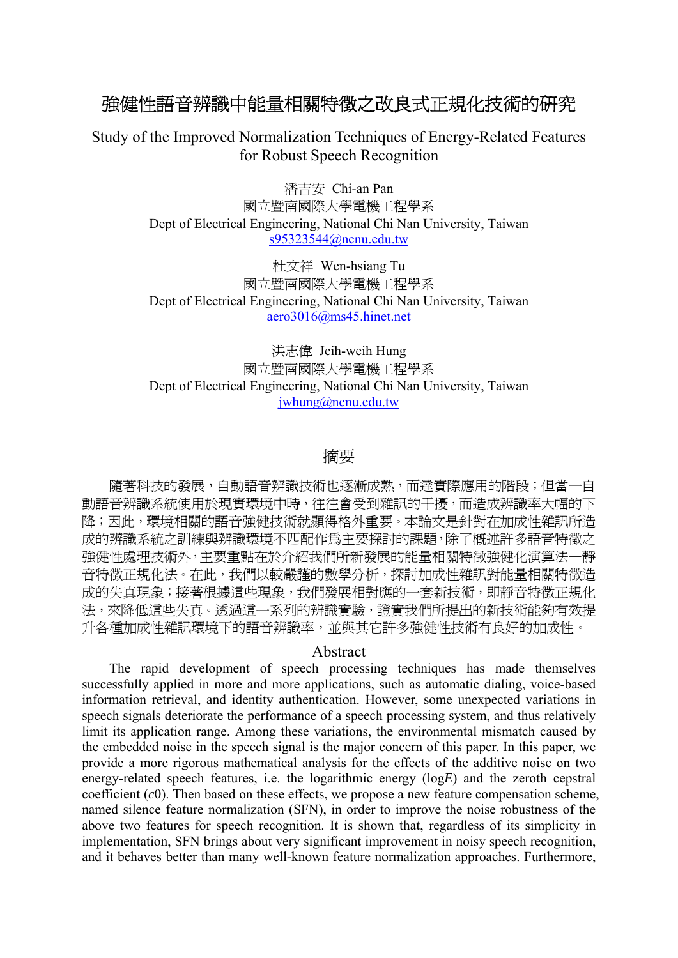# 強健性語音辨識中能量相關特徵之改良式正規化技術的研究

Study of the Improved Normalization Techniques of Energy-Related Features for Robust Speech Recognition

> 潘吉安 Chi-an Pan 國立暨南國際大學電機工程學系 Dept of Electrical Engineering, National Chi Nan University, Taiwan s95323544@ncnu.edu.tw

> 杜文祥 Wen-hsiang Tu 國立暨南國際大學電機工程學系 Dept of Electrical Engineering, National Chi Nan University, Taiwan aero3016@ms45.hinet.net

> 洪志偉 Jeih-weih Hung 國立暨南國際大學電機工程學系 Dept of Electrical Engineering, National Chi Nan University, Taiwan jwhung@ncnu.edu.tw

## 摘要

隨著科技的發展,自動語音辨識技術也逐漸成熟,而達實際應用的階段;但當一自 動語音辨識系統使用於現實環境中時,往往會受到雜訊的干擾,而造成辨識率大幅的下 降;因此,環境相關的語音強健技術就顯得格外重要。本論文是針對在加成性雜訊所造 成的辨識系統之訓練與辨識環境不匹配作為主要探討的課題,除了概述許多語音特徵之 強健性處理技術外,主要重點在於介紹我們所新發展的能量相關特徵強健化演算法—靜 音特徵正規化法。在此,我們以較嚴謹的數學分析,探討加成性雜訊對能量相關特徵造 成的失真現象;接著根據這些現象,我們發展相對應的一套新技術,即靜音特徵正規化 法,來降低這些失真。透過這一系列的辨識實驗,證實我們所提出的新技術能夠有效提 升各種加成性雜訊環境下的語音辨識率,並與其它許多強健性技術有良好的加成性。

#### Abstract

The rapid development of speech processing techniques has made themselves successfully applied in more and more applications, such as automatic dialing, voice-based information retrieval, and identity authentication. However, some unexpected variations in speech signals deteriorate the performance of a speech processing system, and thus relatively limit its application range. Among these variations, the environmental mismatch caused by the embedded noise in the speech signal is the major concern of this paper. In this paper, we provide a more rigorous mathematical analysis for the effects of the additive noise on two energy-related speech features, i.e. the logarithmic energy (log*E*) and the zeroth cepstral coefficient (*c*0). Then based on these effects, we propose a new feature compensation scheme, named silence feature normalization (SFN), in order to improve the noise robustness of the above two features for speech recognition. It is shown that, regardless of its simplicity in implementation, SFN brings about very significant improvement in noisy speech recognition, and it behaves better than many well-known feature normalization approaches. Furthermore,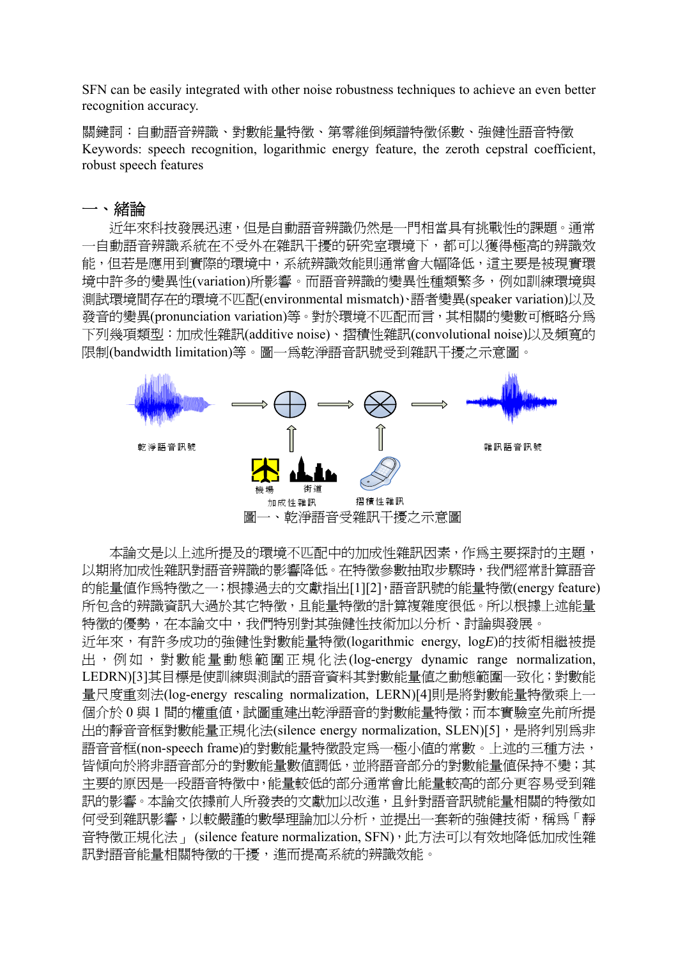SFN can be easily integrated with other noise robustness techniques to achieve an even better recognition accuracy.

關鍵詞:自動語音辨識、對數能量特徵、第零維倒頻譜特徵係數、強健性語音特徵 Keywords: speech recognition, logarithmic energy feature, the zeroth cepstral coefficient, robust speech features

### 一、緒論

近年來科技發展迅速,但是自動語音辨識仍然是一門相當具有挑戰性的課題。通常 一自動語音辨識系統在不受外在雜訊干擾的研究室環境下,都可以獲得極高的辨識效 能,但若是應用到實際的環境中,系統辨識效能則通常會大幅降低,這主要是被現實環 境中許多的變異性(variation)所影響。而語音辨識的變異性種類繁多,例如訓練環境與 測試環境間存在的環境不匹配(environmental mismatch)、語者變異(speaker variation)以及 發音的變異(pronunciation variation)等。對於環境不匹配而言,其相關的變數可概略分為 下列幾項類型:加成性雜訊(additive noise)、摺積性雜訊(convolutional noise)以及頻寬的 限制(bandwidth limitation)等。圖一為乾淨語音訊號受到雜訊干擾之示意圖。



本論文是以上述所提及的環境不匹配中的加成性雜訊因素,作為主要探討的主題, 以期將加成性雜訊對語音辨識的影響降低。在特徵參數抽取步驟時,我們經常計算語音 的能量値作爲特徵之一;根據過去的文獻指出[1][2],語音訊號的能量特徵(energy feature) 所包含的辨識資訊大過於其它特徵,且能量特徵的計算複雜度很低。所以根據上述能量 特徵的優勢,在本論文中,我們特別對其強健性技術加以分析、討論與發展。 近年來,有許多成功的強健性對數能量特徵(logarithmic energy, log*E*)的技術相繼被提 出,例如,對數能量動態範圍正規化法(log-energy dynamic range normalization, LEDRN)[3]其目標是使訓練與測試的語音資料其對數能量值之動態範圍一致化;對數能 量尺度重刻法(log-energy rescaling normalization, LERN)[4]則是將對數能量特徵乘上一

個介於 0 與 1 間的權重值,試圖重建出乾淨語音的對數能量特徵; 而本實驗室先前所提 出的靜音音框對數能量正規化法(silence energy normalization, SLEN)[5],是將判別為非 語音音框(non-speech frame)的對數能量特徵設定為一極小值的常數。上述的三種方法, 皆傾向於將非語音部分的對數能量數值調低,並將語音部分的對數能量值保持不變;其 主要的原因是一段語音特徵中,能量較低的部分通常會比能量較高的部分更容易受到雜 訊的影響。本論文依據前人所發表的文獻加以改進,且針對語音訊號能量相關的特徵如 何受到雜訊影響,以較嚴謹的數學理論加以分析,並提出一套新的強健技術,稱為「靜 音特徵正規化法」 (silence feature normalization, SFN), 此方法可以有效地降低加成性雜 訊對語音能量相關特徵的干擾,進而提高系統的辨識效能。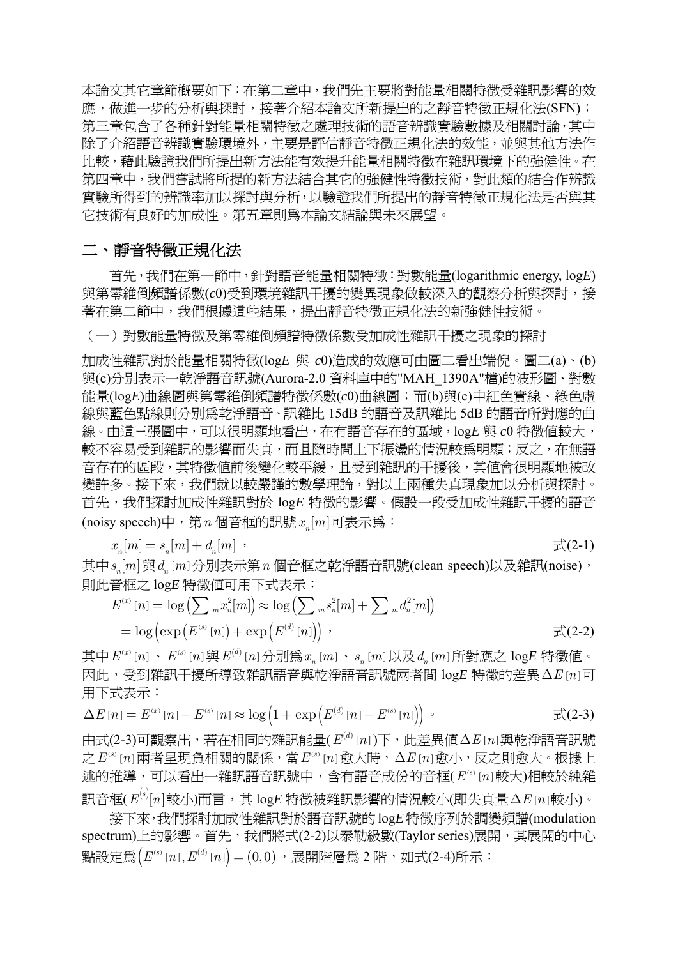本論文其它章節概要如下:在第二章中,我們先主要將對能量相關特徵受雜訊影響的效 應,做進一步的分析與探討,接著介紹本論文所新提出的之靜音特徵正規化法(SFN); 第三章包含了各種針對能量相關特徵之處理技術的語音辨識實驗數據及相關討論,其中 除了介紹語音辨識實驗環境外,主要是評估靜音特徵正規化法的效能,並與其他方法作 比較,藉此驗證我們所提出新方法能有效提升能量相關特徵在雜訊環境下的強健性。在 第四章中,我們嘗試將所提的新方法結合其它的強健性特徵技術,對此類的結合作辨識 實驗所得到的辨識率加以探討與分析,以驗證我們所提出的靜音特徵正規化法是否與其 它技術有良好的加成性。第五章則為本論文結論與未來展望。

# 二、靜音特徵正規化法

首先,我們在第一節中,針對語音能量相關特徵:對數能量(logarithmic energy, log*E*) 與第零維倒頻譜係數(c0)受到環境雜訊干擾的變異現象做較深入的觀察分析與探討,接 著在第二節中,我們根據這些結果,提出靜音特徵正規化法的新強健性技術。

(一)對數能量特徵及第零維倒頻譜特徵係數受加成性雜訊干擾之現象的探討

加成性雜訊對於能量相關特徵(log*E* 與 *c*0)造成的效應可由圖二看出端倪。圖二(a)、(b) 與(c)分別表示一乾淨語音訊號(Aurora-2.0 資料庫中的"MAH\_1390A"檔)的波形圖、對數 能量(log*E*)曲線圖與第零維倒頻譜特徵係數(*c*0)曲線圖;而(b)與(c)中紅色實線、綠色虛 線與藍色點線則分別為乾淨語音、訊雜比 15dB 的語音及訊雜比 5dB 的語音所對應的曲 線。由這三張圖中,可以很明顯地看出,在有語音存在的區域,logE 與 c0 特徵值較大, 較不容易受到雜訊的影響而失真,而且隨時間上下振盪的情況較為明顯;反之,在無語 音存在的區段,其特徵值前後變化較平緩,且受到雜訊的干擾後,其值會很明顯地被改 變許多。接下來,我們就以較嚴謹的數學理論,對以上兩種失真現象加以分析與探討。 首先,我們探討加成性雜訊對於 log*E* 特徵的影響。假設一段受加成性雜訊干擾的語音 (noisy speech)中,第*n* 個音框的訊號  $x$  [m] 可表示為:

$$
x_{n}[m] = s_{n}[m] + d_{n}[m] \quad , \tag{2-1}
$$

其中  $s_{\mu}[m]$ 與  $d_{\mu}[m]$ 分別表示第 $n$  個音框之乾淨語音訊號(clean speech)以及雜訊(noise), 則此音框之 log*E* 特徵值可用下式表示:

$$
E^{(x)}[n] = \log \left( \sum_{m} x_n^2[m] \right) \approx \log \left( \sum_{m} s_n^2[m] + \sum_{m} d_n^2[m] \right)
$$
  
=  $\log \left( \exp \left( E^{(s)}[n] \right) + \exp \left( E^{(d)}[n] \right) \right)$ ,  
 $\exists \zeta (2-2)$ 

其中 $E^{(x)}[n]$  ·  $E^{(s)}[n]$ 與 $E^{(d)}[n]$ 分別爲 $x_n[m]$  ·  $s_n[m]$ 以及 $d_n[m]$ 所對應之 log $E$ 特徵値。 因此,受到雜訊干擾所導致雜訊語音與乾淨語音訊號兩者間 log*E* 特徵的差異Δ*E n*[ ]可 用下式表示:

$$
\Delta E[n] = E^{(x)}[n] - E^{(s)}[n] \approx \log \left( 1 + \exp \left( E^{(d)}[n] - E^{(s)}[n] \right) \right) \tag{2-3}
$$

由式(2-3)可觀察出,若在相同的雜訊能量( $E^{(d)}[n]$ )下,此差異値Δ $E[n]$ 與乾淨語音訊號  $\mathcal{L} E^{(s)}[n]$ 兩者呈現負相關的關係,當 $E^{(s)}[n]$ 愈大時,△ $E[n]$ 愈小,反之則愈大。根據上 流的推導,可以看出一雜訊語音訊號中,含有語音成份的音框( $E^{(s)}[n]$ 較大)相較於純雜 訊音框( $E^{(s)}[n]$ 較小)而言,其 logE 特徵被雜訊影響的情況較小(即失真量Δ $E$ [ $n$ ]較小)。

接下來,我們探討加成性雜訊對於語音訊號的log*E*特徵序列於調變頻譜(modulation spectrum)上的影響。首先,我們將式(2-2)以泰勒級數(Taylor series)展開,其展開的中心 點設定為 $(E^{\text{\tiny (s)}}[n], E^{\text{\tiny (d)}}[n]) = (0,0)$ ,展開階層為 2 階, 如式(2-4)所示: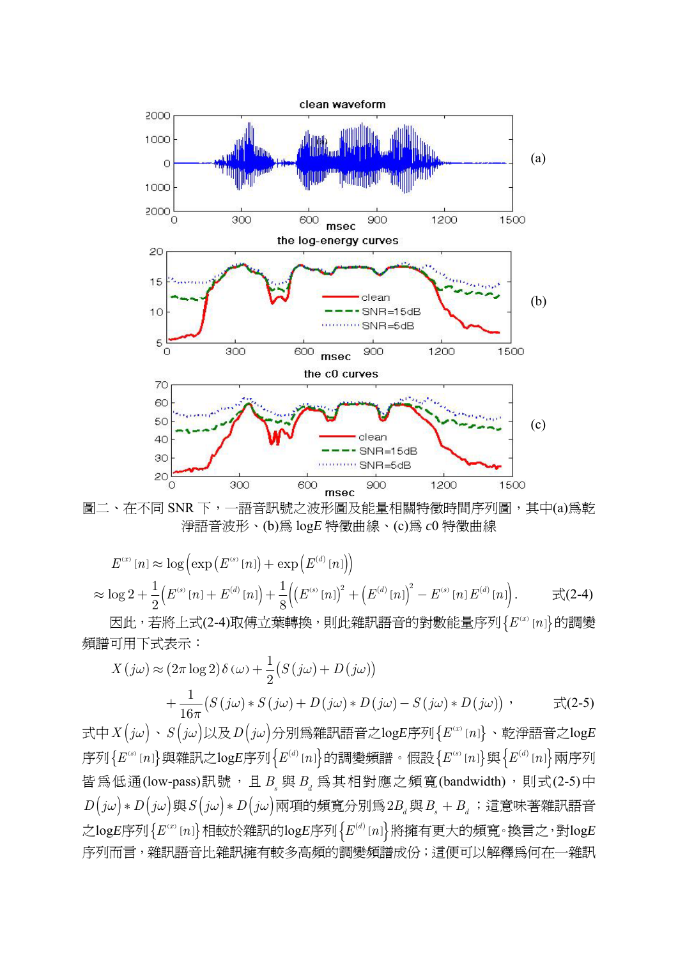

圖二、在不同 SNR 下,一語音訊號之波形圖及能量相關特徵時間序列圖,其中(a)為乾 淨語音波形、(b)為 log*E* 特徵曲線、(c)為 *c*0 特徵曲線

$$
E^{(x)}[n] \approx \log \left( \exp \left( E^{(s)}[n] \right) + \exp \left( E^{(d)}[n] \right) \right)
$$
  
 
$$
\approx \log 2 + \frac{1}{2} \left( E^{(s)}[n] + E^{(d)}[n] \right) + \frac{1}{8} \left( \left( E^{(s)}[n] \right)^2 + \left( E^{(d)}[n] \right)^2 - E^{(s)}[n] E^{(d)}[n] \right).
$$
  $\qquad \qquad \pm \mathcal{Z}(2-4)$ 

因此,若將上式(2-4)取傅立葉轉換,則此雜訊語音的對數能量序列 {  $E^{(x)}[n]$  的調變 頻譜可用下式表示:

$$
X(j\omega) \approx (2\pi \log 2) \delta(\omega) + \frac{1}{2} (S(j\omega) + D(j\omega))
$$
  
+ 
$$
\frac{1}{16\pi} (S(j\omega) * S(j\omega) + D(j\omega) * D(j\omega) - S(j\omega) * D(j\omega)) , \qquad \exists \xi(2-5)
$$

式中*X j*( ) *ω* 、*S j*( ) *ω* 以及*D j*( ) *ω* 分別為雜訊語音之log*E*序列 ( ) { } [ ] *<sup>x</sup> E n* 、乾淨語音之log*E* 序列 ( ) { [ ]} *<sup>s</sup> E n* 與雜訊之log*E*序列 ( ) { } [ ] *<sup>d</sup> E n* 的調變頻譜。假設 ( ) { [ ]} *<sup>s</sup> E n* 與 ( ) { } [ ] *<sup>d</sup> E n* 兩序列 皆為低通(low-pass)訊號,且  $B_s$ 與  $B_d$  為其相對應之頻寬(bandwidth),則式(2-5)中  $D(j\omega) * D(j\omega) \ncong S(j\omega) * D(j\omega)$ 兩項的頻寬分別爲2 $B_d$ 與 $B_s + B_d$ ;這意味著雜訊語音 之log*E*序列 ( ) { } [ ] *<sup>x</sup> E n* 相較於雜訊的log*E*序列 ( ) { } [ ] *<sup>d</sup> E n* 將擁有更大的頻寬。換言之,對log*E* 序列而言,雜訊語音比雜訊擁有較多高頻的調變頻譜成份;這便可以解釋為何在一雜訊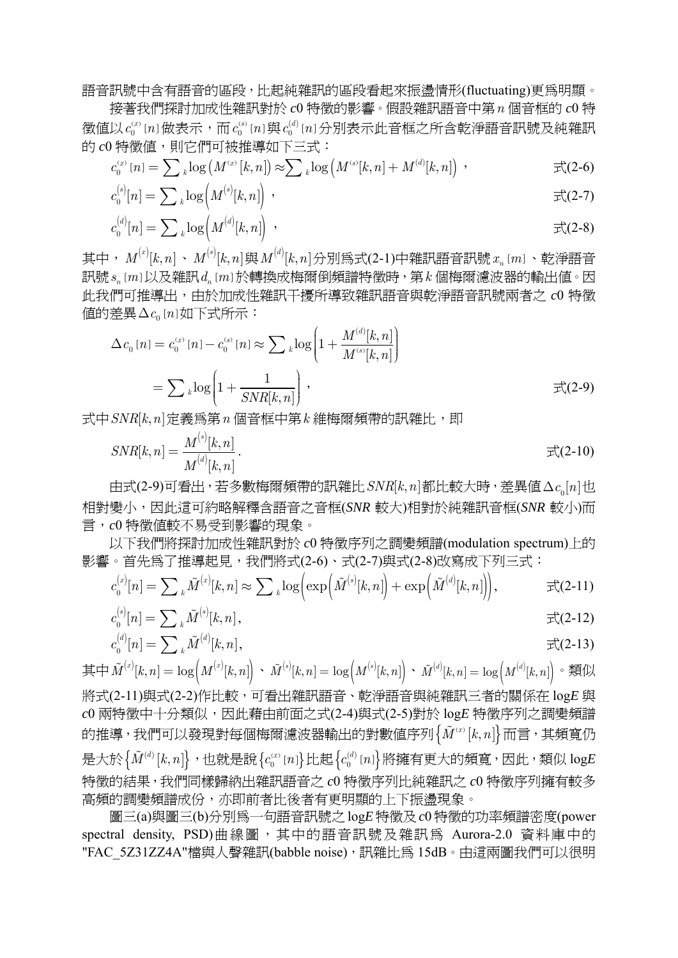語音訊號中含有語音的區段,比起純雜訊的區段看起來振盪情形(fluctuating)更為明顯。

接著我們探討加成性雜訊對於 *c*0 特徵的影響。假設雜訊語音中第*n* 個音框的 *c*0 特 徵値以 $\,c_{0}^{\scriptscriptstyle{(x)}}\,[n]$ 做表示,而 $\,c_{0}^{\scriptscriptstyle{(s)}}\,[n]$ 與 $\,c_{0}^{\scriptscriptstyle{(d)}}\,[n]$ 分別表示此音框之所含乾淨語音訊號及純雜訊 的  $c0$  特徵值,則它們可被推導如下三式:

$$
c_0^{(x)}[n] = \sum_{k} \log(M^{(x)}[k,n]) \approx \sum_{k} \log(M^{(s)}[k,n] + M^{(d)}[k,n]) \quad \text{if} \quad \mathcal{L}(2-6)
$$

$$
c_0^{(s)}[n] = \sum_{k} \log \left( M^{(s)}[k, n] \right) , \qquad \qquad \mathbb{R}(2-7)
$$

$$
c_0^{(d)}[n] = \sum_{k} \log \left( M^{(d)}[k, n] \right) , \qquad \qquad \mathfrak{m}^{(2-8)}.
$$

其中, $M^{(x)}[k,n] \, \cdot \, M^{(s)}[k,n]$ 與 $M^{(d)}[k,n]$ 分別為式(2-1)中雜訊語音訊號 $\, x_{_n}\, [\, m\,] \, \cdot \,$ 乾淨語音 訊號 [ ] *<sup>n</sup> s m* 以及雜訊 [ ] *d mn* 於轉換成梅爾倒頻譜特徵時,第*k* 個梅爾濾波器的輸出值。因 此我們可推導出,由於加成性雜訊干擾所導致雜訊語音與乾淨語音訊號兩者之 *c*0 特徵 值的差異 Δc<sub>o</sub> [n] 如下式所示:

$$
\Delta c_0[n] = c_0^{(x)}[n] - c_0^{(s)}[n] \approx \sum_{k} \log \left( 1 + \frac{M^{(d)}[k, n]}{M^{(s)}[k, n]} \right)
$$
  
=  $\sum_{k} \log \left( 1 + \frac{1}{SNR[k, n]} \right)$ ,  $\overrightarrow{\mathcal{F}}(2-9)$ 

式中 SNR[k, n] 定義為第 n 個音框中第 k 維梅爾頻帶的訊雜比, 即

$$
SNR[k,n] = \frac{M^{(s)}[k,n]}{M^{(d)}[k,n]}.
$$

由式(2-9)可看出,若多數梅爾頻帶的訊雜比 SNR[k, n]都比較大時,差異値 Δc<sub>o</sub>[n]也 相對變小,因此這可約略解釋含語音之音框(*SNR* 較大)相對於純雜訊音框(*SNR* 較小)而 言,*c*0 特徵值較不易受到影響的現象。

以下我們將探討加成性雜訊對於 *c*0 特徵序列之調變頻譜(modulation spectrum)上的 影響。首先為了推導起見,我們將式(2-6)、式(2-7)與式(2-8)改寫成下列三式:

$$
c_0^{(x)}[n] = \sum_{k} \tilde{M}^{(x)}[k,n] \approx \sum_{k} \log \left( \exp \left( \tilde{M}^{(s)}[k,n] \right) + \exp \left( \tilde{M}^{(d)}[k,n] \right) \right), \qquad \qquad \pm \zeta(2-11)
$$

$$
c_0^{(s)}[n] = \sum_{k} \tilde{M}^{(s)}[k, n], \qquad \qquad \mathfrak{m}(\lambda) = \mathfrak{m}(\lambda)
$$

$$
c_0^{(d)}[n] = \sum_{k} \tilde{M}^{(d)}[k, n], \qquad \qquad \mathfrak{m}^{(d)}[n] = \sum_{k} \tilde{M}^{(d)}[n] = \sum_{k} \tilde{M}^{(d)}[n] = \sum_{k} \tilde{M}^{(d)}[n] = \sum_{k} \tilde{M}^{(d)}[n] = \sum_{k} \tilde{M}^{(d)}[n]
$$

其中 $\tilde{M}^{(x)}[k,n] = \log \left( M^{(x)}[k,n] \right) \cdot \tilde{M}^{(s)}[k,n] = \log \left( M^{(s)}[k,n] \right) \cdot \tilde{M}^{(d)}[k,n] = \log \left( M^{(d)}[k,n] \right)$  。類似 將式(2-11)與式(2-2)作比較,可看出雜訊語音、乾淨語音與純雜訊三者的關係在 log*E* 與  $c$ 0 兩特徵中十分類似,因此藉由前面之式(2-4)與式(2-5)對於 log*E* 特徵序列之調變頻譜 的推導,我們可以發現對每個梅爾濾波器輸出的對數值序列 $\left\{\tilde{M}^{(x)}[k,n]\right\}$ 而言,其頻寬仍 是大於 $\left\{ \tilde{M}^{(d)}[k,n]\right\}$ ,也就是說 $\left\{ c_{0}^{(x)}[n]\right\}$ 比起 $\left\{ c_{0}^{(d)}[n]\right\}$ 將擁有更大的頻寬,因此,類似 logE 特徵的結果,我們同樣歸納出雜訊語音之 *c*0 特徵序列比純雜訊之 *c*0 特徵序列擁有較多 高頻的調變頻譜成份,亦即前者比後者有更明顯的上下振盪現象。

圖三(a)與圖三(b)分別為一句語音訊號之log*E*特徵及*c*0 特徵的功率頻譜密度(power spectral density, PSD)曲線圖,其中的語音訊號及雜訊為 Aurora-2.0 資料庫中的 "FAC\_5Z31ZZ4A"檔與人聲雜訊(babble noise),訊雜比為 15dB。由這兩圖我們可以很明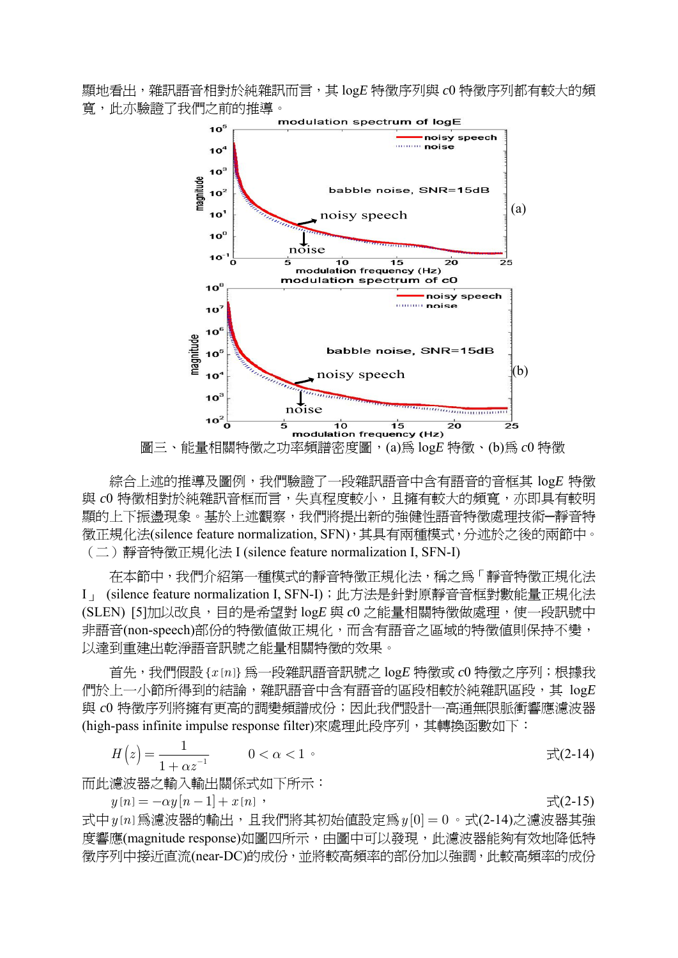顯地看出,雜訊語音相對於純雜訊而言,其 log*E* 特徵序列與 *c*0 特徵序列都有較大的頻 寬,此亦驗證了我們之前的推導。



圖三、能量相關特徵之功率頻譜密度圖,(a)為 log*E* 特徵、(b)為 *c*0 特徵

綜合上述的推導及圖例,我們驗證了一段雜訊語音中含有語音的音框其 log*E* 特徵 與 c0 特徵相對於純雜訊音框而言,失真程度較小,且擁有較大的頻寬,亦即具有較明 顯的上下振盪現象。基於上述觀察,我們將提出新的強健性語音特徵處理技術─靜音特 徵正規化法(silence feature normalization, SFN),其具有兩種模式,分述於之後的兩節中。 (二)靜音特徵正規化法 I (silence feature normalization I, SFN-I)

在本節中,我們介紹第一種模式的靜音特徵正規化法,稱之為「靜音特徵正規化法 I」 (silence feature normalization I, SFN-I);此方法是針對原靜音音框對數能量正規化法 (SLEN) [5]加以改良,目的是希望對 logE 與 c0 之能量相關特徵做處理,使一段訊號中 非語音(non-speech)部份的特徵值做正規化,而含有語音之區域的特徵值則保持不變, 以達到重建出乾淨語音訊號之能量相關特徵的效果。

首先,我們假設{ $x[n]$ 為一段雜訊語音訊號之 logE 特徵或 c0 特徵之序列;根據我 們於上一小節所得到的結論,雜訊語音中含有語音的區段相較於純雜訊區段,其 log*E* 與 c0 特徵序列將擁有更高的調變頻譜成份;因此我們設計一高通無限脈衝響應濾波器 (high-pass infinite impulse response filter)來處理此段序列,其轉換函數如下:

$$
H(z) = \frac{1}{1 + \alpha z^{-1}} \qquad 0 < \alpha < 1 \qquad \qquad \text{if } (2-14)
$$

而此濾波器之輸入輸出關係式如下所示:

 $y[n] = -\alpha y[n-1] + x[n]$ ,  $\overrightarrow{\mathcal{L}}(2-15)$ 

式中 $y[n]$ 為濾波器的輸出,且我們將其初始值設定為 $y[0] = 0$ 。式 $(2-14)$ 之濾波器其強 度響應(magnitude response)如圖四所示,由圖中可以發現,此濾波器能夠有效地降低特 徵序列中接近直流(near-DC)的成份,並將較高頻率的部份加以強調,此較高頻率的成份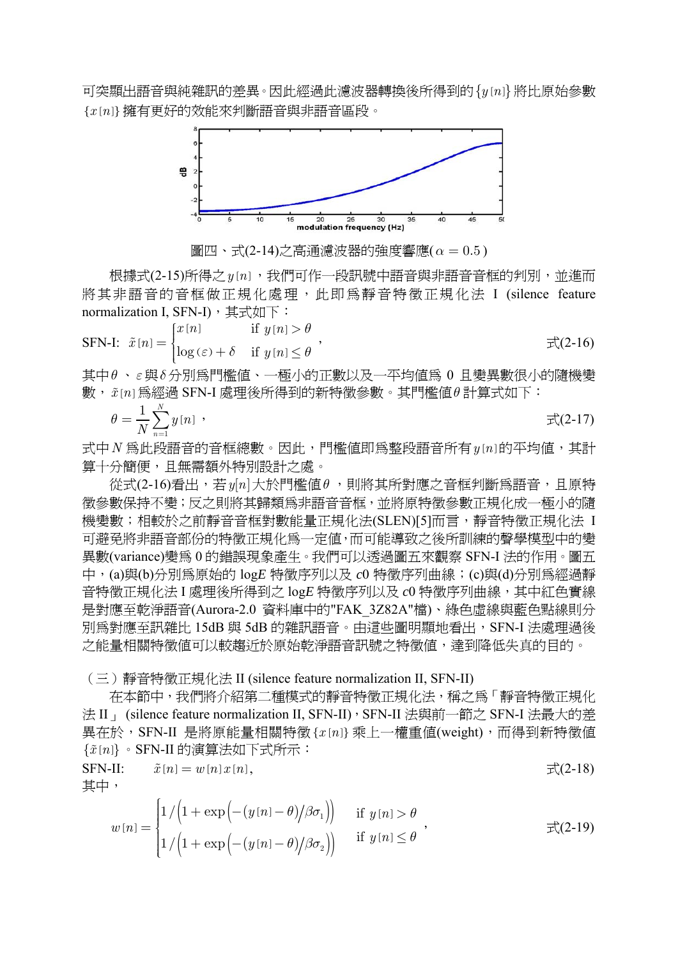可突顯出語音與純雜訊的差異。因此經過此濾波器轉換後所得到的 {y [n] } 將比原始參數 {*x n*[ ]}擁有更好的效能來判斷語音與非語音區段。



圖四、式(2-14)之高通濾波器的強度響應(*α* = 0.5 )

根據式(2-15)所得之 y [n], 我們可作一段訊號中語音與非語音音框的判別, 並進而 將其非語音的音框做正規化處理,此即為靜音特徵正規化法 I (silence feature normalization I, SFN-I), 其式如下:

$$
\text{SFN-I: } \tilde{x}[n] = \begin{cases} x[n] & \text{if } y[n] > \theta \\ \log(\varepsilon) + \delta & \text{if } y[n] \le \theta \end{cases}, \quad \text{if } y[n] < \theta \end{cases}
$$

其中*θ* 、*ε*與*δ* 分別為門檻值、一極小的正數以及一平均值為 0 且變異數很小的隨機變 數,*x n* [ ]為經過 SFN-I 處理後所得到的新特徵參數。其門檻值*θ* 計算式如下:

$$
\theta = \frac{1}{N} \sum_{n=1}^{N} y[n] \quad , \tag{2-17}
$$

式中 N 為此段語音的音框總數。因此, 門檻値即為整段語音所有 y[n]的平均値, 其計 算十分簡便,且無需額外特別設計之處。

從式(2-16)看出,若*y n*[ ]大於門檻值*θ* ,則將其所對應之音框判斷為語音,且原特 徵參數保持不變;反之則將其歸類為非語音音框,並將原特徵參數正規化成一極小的隨 機變數;相較於之前靜音音框對數能量正規化法(SLEN)[5]而言,靜音特徵正規化法 I 可避免將非語音部份的特徵正規化為一定值,而可能導致之後所訓練的聲學模型中的變 異數(variance)變為 0 的錯誤現象產生。我們可以透過圖五來觀察 SFN-I 法的作用。圖五 中,(a)與(b)分別為原始的 log*E* 特徵序列以及 *c*0 特徵序列曲線;(c)與(d)分別為經過靜 音特徵正規化法 I 處理後所得到之 log*E* 特徵序列以及 *c*0 特徵序列曲線,其中紅色實線 是對應至乾淨語音(Aurora-2.0 資料庫中的"FAK\_3Z82A"檔)、綠色虛線與藍色點線則分 別為對應至訊雜比 15dB 與 5dB 的雜訊語音。由這些圖明顯地看出,SFN-I 法處理過後 之能量相關特徵值可以較趨近於原始乾淨語音訊號之特徵值,達到降低失真的目的。

#### (三)靜音特徵正規化法 II (silence feature normalization II, SFN-II)

在本節中,我們將介紹第二種模式的靜音特徵正規化法,稱之為「靜音特徵正規化 法 II | (silence feature normalization II, SFN-II), SFN-II 法與前一節之 SFN-I 法最大的差 異在於,SFN-II 是將原能量相關特徵{*x n*[ ]} 乘上一權重值(weight),而得到新特徵值 { } *x n* [ ] 。SFN-II 的演算法如下式所示:

$$
\begin{aligned}\n\text{SFN-II:} \qquad \tilde{x}[n] &= w[n]x[n], \\
\text{H} &= \mathcal{F}(2-18).\n\end{aligned}
$$

$$
w[n] = \begin{cases} 1/\left(1 + \exp\left(-\left(y[n] - \theta\right)/\beta\sigma_1\right)\right) & \text{if } y[n] > \theta \\ 1/\left(1 + \exp\left(-\left(y[n] - \theta\right)/\beta\sigma_2\right)\right) & \text{if } y[n] \le \theta \end{cases}, \qquad \qquad \exists \zeta(2-19)
$$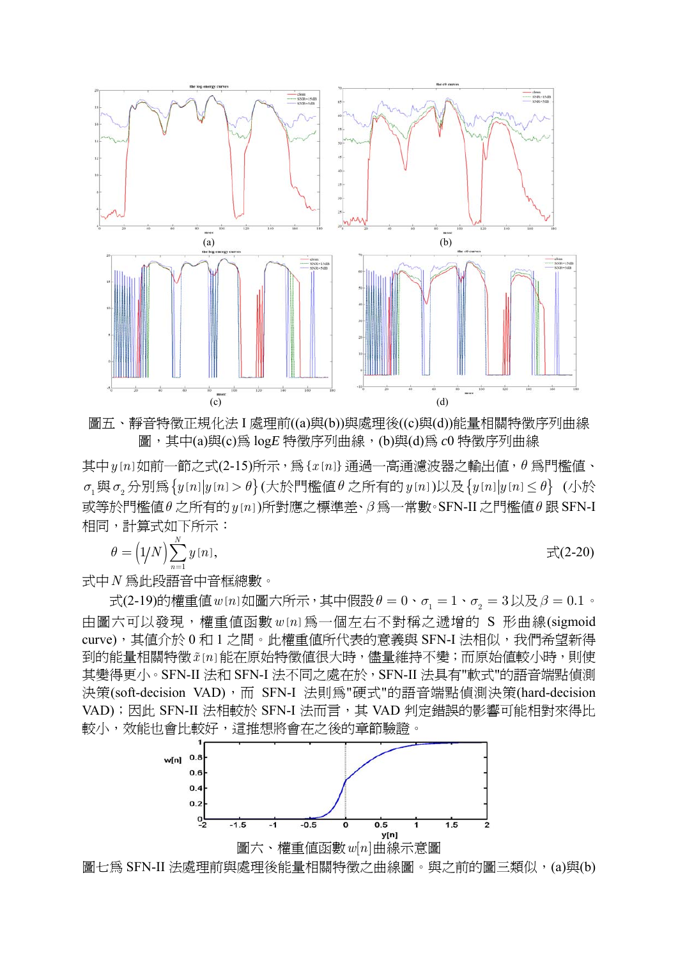

圖五、靜音特徵正規化法 I 處理前((a)與(b))與處理後((c)與(d))能量相關特徵序列曲線 圖, 其中(a)與(c)為 log*E* 特徵序列曲線, (b)與(d)為  $c0$  特徵序列曲線

其中 *y*[n] 如前一節之式(2-15)所示, 為 {*x*[n]} 通過一高通濾波器之輸出値, θ 為門檻値、  $\sigma_1$ 與 $\sigma_2$ 分別爲{ $y[n]$ | $y[n] > \theta$ } (大於門檻値 $\theta$  之所有的 $y[n]$ )以及{ $y[n]$ | $y[n] \leq \theta$ } (小於 或等於門檻值*θ* 之所有的*y n*[ ])所對應之標準差、*β* 為一常數。SFN-II 之門檻值*θ* 跟 SFN-I 相同,計算式如下所示:

$$
\theta = \left(\frac{1}{N}\right) \sum_{n=1}^{N} y[n], \qquad \qquad \overrightarrow{\mathcal{L}}(2\text{-}20)
$$

式中*N* 為此段語音中音框總數。

 $\vec{\mathcal{R}}$ (2-19)的權重値*w*[*n*]如圖六所示,其中假設θ = 0、σ<sub>1</sub> = 1、σ<sub>2</sub> = 3以及β = 0.1。 中圖六可以發現,權重值函數 w [n] 為一個左右不對稱之遞增的 S 形曲線(sigmoid curve), 其值介於 0 和 1 之間。此權重值所代表的意義與 SFN-I 法相似, 我們希望新得 到的能量相關特徵  $\tilde{x}[n]$ 能在原始特徵值很大時,儘量維持不變;而原始值較小時,則使 其變得更小。SFN-II 法和 SFN-I 法不同之處在於, SFN-II 法具有"軟式"的語音端點偵測 決策(soft-decision VAD),而 SFN-I 法則為"硬式"的語音端點偵測決策(hard-decision VAD);因此 SFN-II 法相較於 SFN-I 法而言,其 VAD 判定錯誤的影響可能相對來得比 較小,效能也會比較好,這推想將會在之後的章節驗證。



圖七為 SFN-II 法處理前與處理後能量相關特徵之曲線圖。與之前的圖三類似,(a)與(b)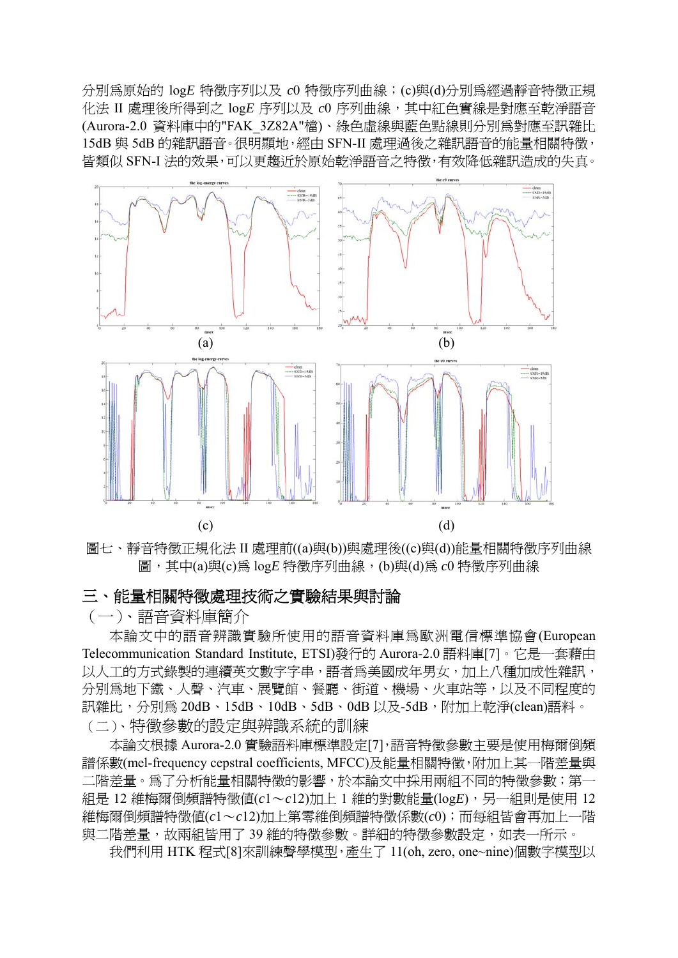分別為原始的 log*E* 特徵序列以及 *c*0 特徵序列曲線;(c)與(d)分別為經過靜音特徵正規 化法 II 處理後所得到之 log*E* 序列以及 *c*0 序列曲線,其中紅色實線是對應至乾淨語音 (Aurora-2.0 資料庫中的"FAK\_3Z82A"檔)、綠色虛線與藍色點線則分別為對應至訊雜比 15dB 與 5dB 的雜訊語音。很明顯地,經由 SFN-II 處理過後之雜訊語音的能量相關特徵, 皆類似 SFN-I 法的效果,可以更趨近於原始乾淨語音之特徵,有效降低雜訊造成的失真。



圖七、靜音特徵正規化法 II 處理前((a)與(b))與處理後((c)與(d))能量相關特徵序列曲線 圖,其中(a)與(c)為 log*E* 特徵序列曲線, (b)與(d)為  $c0$  特徵序列曲線

# 三、能量相關特徵處理技術之實驗結果與討論

### (一)、語音資料庫簡介

本論文中的語音辨識實驗所使用的語音資料庫為歐洲電信標準協會(European Telecommunication Standard Institute, ETSI)發行的 Aurora-2.0 語料庫[7]。它是一套藉由 以人工的方式錄製的連續英文數字字串,語者為美國成年男女,加上八種加成性雜訊, 分別為地下鐵、人聲、汽車、展覽館、餐廳、街道、機場、火車站等,以及不同程度的 訊雜比,分別為 20dB、15dB、10dB、5dB、0dB 以及-5dB,附加上乾淨(clean)語料。 (二)、特徵參數的設定與辨識系統的訓練

本論文根據 Aurora-2.0 實驗語料庫標準設定[7],語音特徵參數主要是使用梅爾倒頻 譜係數(mel-frequency cepstral coefficients, MFCC)及能量相關特徵,附加上其一階差量與 二階差量。為了分析能量相關特徵的影響,於本論文中採用兩組不同的特徵參數;第一 組是 12 維梅爾倒頻譜特徵值(*c*1~*c*12)加上 1 維的對數能量(log*E*),另一組則是使用 12 維梅爾倒頻譜特徵值(*c*1~*c*12)加上第零維倒頻譜特徵係數(*c*0);而每組皆會再加上一階 與二階差量,故兩組皆用了39 維的特徵參數。詳細的特徵參數設定,如表一所示。

我們利用 HTK 程式[8]來訓練聲學模型,產生了 11(oh, zero, one~nine)個數字模型以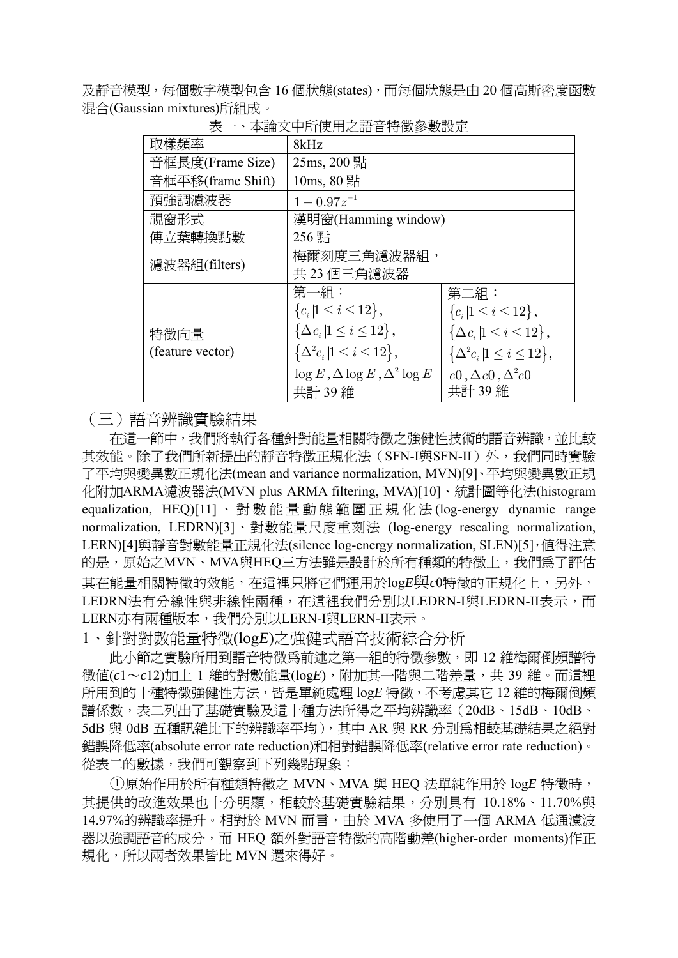及靜音模型,每個數字模型包含 16 個狀態(states),而每個狀態是由 20 個高斯密度函數 混合(Gaussian mixtures)所組成。

| 取樣頻率              | 8kHz                                                     |                                                          |  |  |  |  |
|-------------------|----------------------------------------------------------|----------------------------------------------------------|--|--|--|--|
| 音框長度(Frame Size)  | 25ms, 200 點                                              |                                                          |  |  |  |  |
| 音框平移(frame Shift) | $10ms, 80$ 點                                             |                                                          |  |  |  |  |
| 預強調濾波器            | $1 - 0.97z^{-1}$                                         |                                                          |  |  |  |  |
| 視窗形式              | 漢明窗(Hamming window)                                      |                                                          |  |  |  |  |
| 傅立葉轉換點數           | 256 點                                                    |                                                          |  |  |  |  |
| 濾波器組(filters)     | 梅爾刻度三角濾波器組,                                              |                                                          |  |  |  |  |
|                   | 共 23 個三角濾波器                                              |                                                          |  |  |  |  |
|                   | 第一組:                                                     | 第二組:                                                     |  |  |  |  |
|                   | ${c_i   1 \leq i \leq 12},$                              | ${c_i   1 \leq i \leq 12},$                              |  |  |  |  |
| 特徵向量              | $\left\{ \Delta c_i \,   1 \leq i \leq 12 \right\},\$    | $\left\{ \Delta c_i \,   1 \leq i \leq 12 \right\},\$    |  |  |  |  |
| (feature vector)  | $\left\{\Delta^2 c_i   1 \leq i \leq 12\right\},\right.$ | $\left\{\Delta^2 c_i   1 \leq i \leq 12\right\},\right.$ |  |  |  |  |
|                   | $\log E$ , $\Delta \log E$ , $\Delta^2 \log E$           | $c0, \Delta c0, \Delta^2 c0$                             |  |  |  |  |
|                   | 共計 39 維                                                  | 共計 39 維                                                  |  |  |  |  |

表一、本論文中所使用之語音特徵參數設定

(三)語音辨識實驗結果

在這一節中,我們將執行各種針對能量相關特徵之強健性技術的語音辨識,並比較 其效能。除了我們所新提出的靜音特徵正規化法(SFN-I與SFN-II)外,我們同時實驗 了平均與變異數正規化法(mean and variance normalization, MVN)[9]、平均與變異數正規 化附加ARMA濾波器法(MVN plus ARMA filtering, MVA)[10]、統計圖等化法(histogram equalization, HEQ)[11] 、對數能量動態範圍正規化法 (log-energy dynamic range normalization, LEDRN)[3]、對數能量尺度重刻法 (log-energy rescaling normalization, LERN)[4]與靜音對數能量正規化法(silence log-energy normalization, SLEN)[5],值得注意 的是,原始之MVN、MVA與HEQ三方法雖是設計於所有種類的特徵上,我們為了評估 其在能量相關特徵的效能,在這裡只將它們運用於log*E*與*c*0特徵的正規化上,另外, LEDRN法有分線性與非線性兩種,在這裡我們分別以LEDRN-I與LEDRN-II表示,而 LERN亦有兩種版本,我們分別以LERN-I與LERN-II表示。

1、針對對數能量特徵(log*E*)之強健式語音技術綜合分析

此小節之實驗所用到語音特徵為前述之第一組的特徵參數,即 12 維梅爾倒頻譜特 徵值(*c*1~*c*12)加上 1 維的對數能量(log*E*),附加其一階與二階差量,共 39 維。而這裡 所用到的十種特徵強健性方法,皆是單純處理 log*E* 特徵,不考慮其它 12 維的梅爾倒頻 譜係數,表二列出了基礎實驗及這十種方法所得之平均辨識率(20dB、15dB、10dB、 5dB 與 0dB 五種訊雜比下的辨識率平均), 其中 AR 與 RR 分別為相較基礎結果之絕對 錯誤降低率(absolute error rate reduction)和相對錯誤降低率(relative error rate reduction)。 從表二的數據,我們可觀察到下列幾點現象:

○<sup>1</sup> 原始作用於所有種類特徵之 MVN、MVA 與 HEQ 法單純作用於 log*E* 特徵時, 其提供的改進效果也十分明顯,相較於基礎實驗結果,分別具有 10.18%、11.70%與 14.97%的辨識率提升。相對於 MVN 而言,由於 MVA 多使用了一個 ARMA 低通濾波 器以強調語音的成分,而 HEQ 額外對語音特徵的高階動差(higher-order moments)作正 規化,所以兩者效果皆比 MVN 還來得好。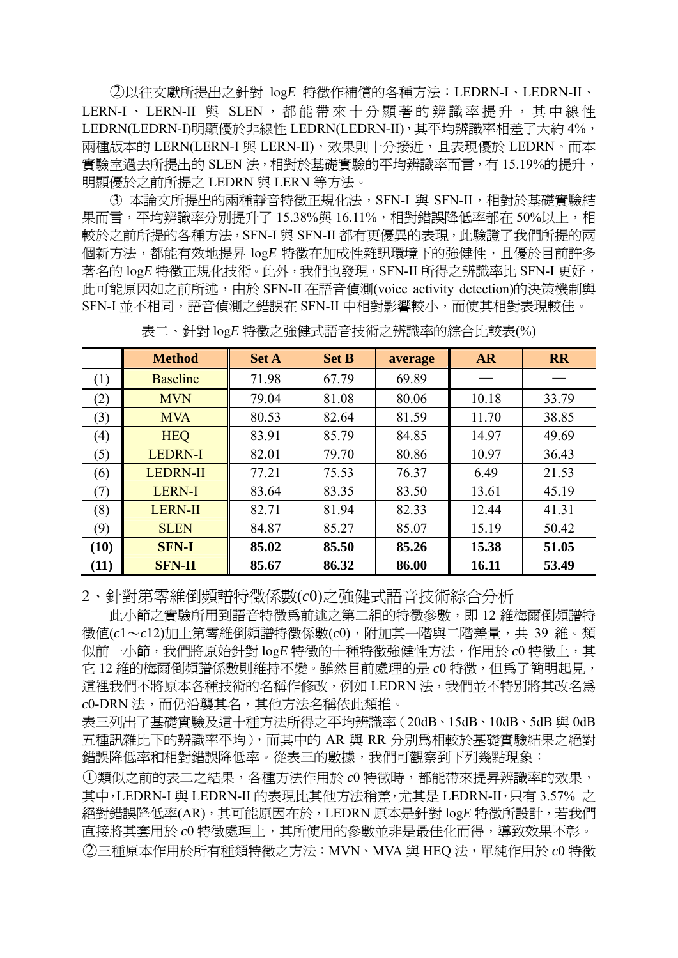○2 以往文獻所提出之針對 log*E* 特徵作補償的各種方法:LEDRN-I、LEDRN-II、 LERN-I、LERN-II 與 SLEN,都能帶來十分顯著的辨識率提升,其中線性 LEDRN(LEDRN-I)明顯優於非線性 LEDRN(LEDRN-II), 其平均辨識率相差了大約 4%, 兩種版本的 LERN(LERN-I 與 LERN-II), 效果則十分接近, 且表現優於 LEDRN。而本 實驗室過去所提出的 SLEN 法,相對於基礎實驗的平均辨識率而言,有 15.19%的提升, 明顯優於之前所提之 LEDRN 與 LERN 等方法。

○3 本論文所提出的兩種靜音特徵正規化法,SFN-I 與 SFN-II,相對於基礎實驗結 果而言,平均辨識率分別提升了 15.38%與 16.11%,相對錯誤降低率都在 50%以上,相 較於之前所提的各種方法,SFN-I 與 SFN-II 都有更優異的表現,此驗證了我們所提的兩 個新方法,都能有效地提昇 log*E* 特徵在加成性雜訊環境下的強健性,且優於目前許多 著名的 logE 特徵正規化技術。此外,我們也發現, SFN-II 所得之辨識率比 SFN-I 更好, 此可能原因如之前所述,由於 SFN-II 在語音偵測(voice activity detection)的決策機制與 SFN-I 並不相同,語音偵測之錯誤在 SFN-II 中相對影響較小,而使其相對表現較佳。

|      | <b>Method</b>   | <b>Set A</b> | <b>Set B</b> | average | <b>AR</b> | <b>RR</b> |
|------|-----------------|--------------|--------------|---------|-----------|-----------|
| (1)  | <b>Baseline</b> | 71.98        | 67.79        | 69.89   |           |           |
| (2)  | <b>MVN</b>      | 79.04        | 81.08        | 80.06   | 10.18     | 33.79     |
| (3)  | <b>MVA</b>      | 80.53        | 82.64        | 81.59   | 11.70     | 38.85     |
| (4)  | <b>HEQ</b>      | 83.91        | 85.79        | 84.85   | 14.97     | 49.69     |
| (5)  | <b>LEDRN-I</b>  | 82.01        | 79.70        | 80.86   | 10.97     | 36.43     |
| (6)  | <b>LEDRN-II</b> | 77.21        | 75.53        | 76.37   | 6.49      | 21.53     |
| (7)  | <b>LERN-I</b>   | 83.64        | 83.35        | 83.50   | 13.61     | 45.19     |
| (8)  | <b>LERN-II</b>  | 82.71        | 81.94        | 82.33   | 12.44     | 41.31     |
| (9)  | <b>SLEN</b>     | 84.87        | 85.27        | 85.07   | 15.19     | 50.42     |
| (10) | <b>SFN-I</b>    | 85.02        | 85.50        | 85.26   | 15.38     | 51.05     |
| (11) | <b>SFN-II</b>   | 85.67        | 86.32        | 86.00   | 16.11     | 53.49     |

表二、針對 log*E* 特徵之強健式語音技術之辨識率的綜合比較表(%)

2、針對第零維倒頻譜特徵係數(*c*0)之強健式語音技術綜合分析

此小節之實驗所用到語音特徵為前述之第二組的特徵參數,即 12 維梅爾倒頻譜特 徵值(*c*1~*c*12)加上第零維倒頻譜特徵係數(*c*0),附加其一階與二階差量,共 39 維。類 似前一小節,我們將原始針對 logE 特徵的十種特徵強健性方法,作用於  $c0$  特徵上,其 它 12 維的梅爾倒頻譜係數則維持不變。雖然目前處理的是 *c*0 特徵,但為了簡明起見, 這裡我們不將原本各種技術的名稱作修改,例如 LEDRN 法,我們並不特別將其改名為 *c*0-DRN 法,而仍沿襲其名,其他方法名稱依此類推。

表三列出了基礎實驗及這十種方法所得之平均辨識率(20dB、15dB、10dB、5dB 與 0dB 五種訊雜比下的辨識率平均),而其中的 AR 與 RR 分別為相較於基礎實驗結果之絕對 錯誤降低率和相對錯誤降低率。從表三的數據,我們可觀察到下列幾點現象:

○<sup>1</sup> 類似之前的表二之結果,各種方法作用於 *c*0 特徵時,都能帶來提昇辨識率的效果, 其中,LEDRN-I 與 LEDRN-II 的表現比其他方法稍差,尤其是 LEDRN-II, 只有 3.57% 之 絕對錯誤降低率(AR),其可能原因在於,LEDRN 原本是針對 log*E* 特徵所設計,若我們 直接將其套用於 *c*0 特徵處理上,其所使用的參數並非是最佳化而得,導致效果不彰。 ○2 三種原本作用於所有種類特徵之方法:MVN、MVA 與 HEQ 法,單純作用於 *c*0 特徵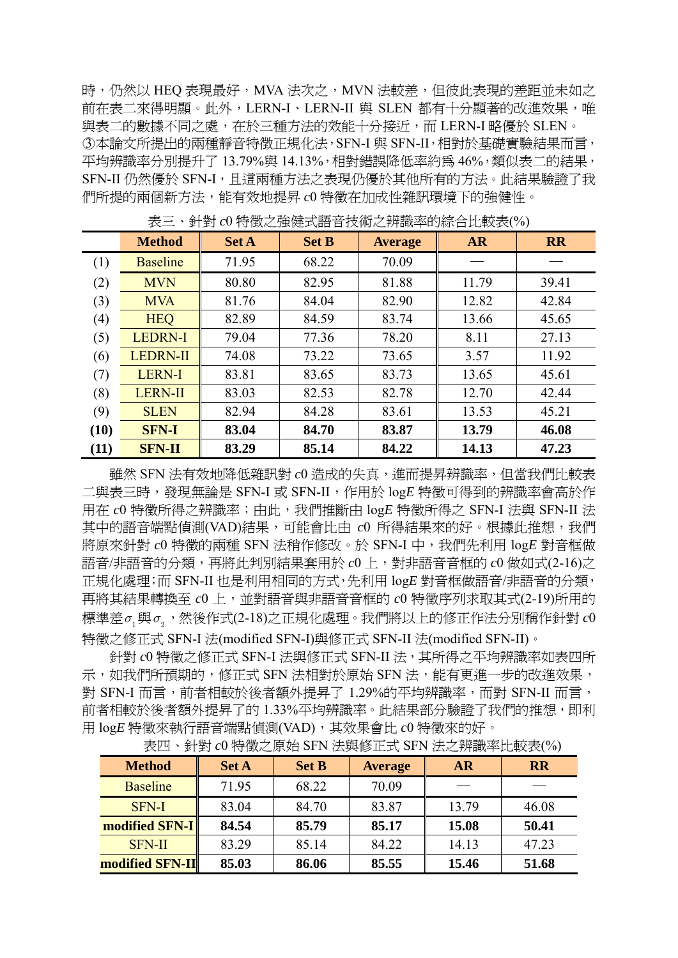時,仍然以 HEQ 表現最好, MVA 法次之, MVN 法較差, 但彼此表現的差距並未如之 前在表二來得明顯。此外,LERN-I、LERN-II 與 SLEN 都有十分顯著的改進效果,唯 與表二的數據不同之處,在於三種方法的效能十分接近,而 LERN-I 略優於 SLEN。 ○3 本論文所提出的兩種靜音特徵正規化法,SFN-I 與 SFN-II,相對於基礎實驗結果而言, 平均辨識率分別提升了13.79%與 14.13%,相對錯誤降低率約爲 46%,類似表二的結果, SFN-II 仍然優於 SFN-I,且這兩種方法之表現仍優於其他所有的方法。此結果驗證了我 們所提的兩個新方法,能有效地提昇 *c*0 特徵在加成性雜訊環境下的強健性。

|                  | <b>Method</b>   | <b>Set A</b> | <b>Set B</b> | <b>Average</b> | <b>AR</b> | <b>RR</b> |
|------------------|-----------------|--------------|--------------|----------------|-----------|-----------|
| $\left(1\right)$ | <b>Baseline</b> | 71.95        | 68.22        | 70.09          |           |           |
| (2)              | <b>MVN</b>      | 80.80        | 82.95        | 81.88          | 11.79     | 39.41     |
| (3)              | <b>MVA</b>      | 81.76        | 84.04        | 82.90          | 12.82     | 42.84     |
| (4)              | <b>HEQ</b>      | 82.89        | 84.59        | 83.74          | 13.66     | 45.65     |
| (5)              | <b>LEDRN-I</b>  | 79.04        | 77.36        | 78.20          | 8.11      | 27.13     |
| (6)              | <b>LEDRN-II</b> | 74.08        | 73.22        | 73.65          | 3.57      | 11.92     |
| (7)              | LERN-I          | 83.81        | 83.65        | 83.73          | 13.65     | 45.61     |
| (8)              | <b>LERN-II</b>  | 83.03        | 82.53        | 82.78          | 12.70     | 42.44     |
| (9)              | <b>SLEN</b>     | 82.94        | 84.28        | 83.61          | 13.53     | 45.21     |
| (10)             | <b>SFN-I</b>    | 83.04        | 84.70        | 83.87          | 13.79     | 46.08     |
| (11)             | <b>SFN-II</b>   | 83.29        | 85.14        | 84.22          | 14.13     | 47.23     |

表三、針對 *c*0 特徵之強健式語音技術之辨識率的綜合比較表(%)

雖然 SFN 法有效地降低雜訊對 c0 造成的失真,進而提昇辨識率,但當我們比較表 二與表三時,發現無論是 SFN-I 或 SFN-II,作用於 log*E* 特徵可得到的辨識率會高於作 用在 *c*0 特徵所得之辨識率;由此,我們推斷由 log*E* 特徵所得之 SFN-I 法與 SFN-II 法 其中的語音端點偵測(VAD)結果,可能會比由 c0 所得結果來的好。根據此推想,我們 將原來針對 *c*0 特徵的兩種 SFN 法稍作修改。於 SFN-I 中,我們先利用 log*E* 對音框做 語音/非語音的分類,再將此判別結果套用於  $c0$ 上, 對非語音音框的  $c0$  做如式(2-16)之 正規化處理;而 SFN-II 也是利用相同的方式,先利用 log*E* 對音框做語音/非語音的分類, 再將其結果轉換至 *c*0 上,並對語音與非語音音框的 *c*0 特徵序列求取其式(2-19)所用的 標準差 σ 與 σ · 然後作式(2-18)之正規化處理。我們將以上的修正作法分別稱作針對 c0 特徵之修正式 SFN-I 法(modified SFN-I)與修正式 SFN-II 法(modified SFN-II)。

針對 c0 特徵之修正式 SFN-I 法與修正式 SFN-II 法, 其所得之平均辨識率如表四所 示,如我們所預期的,修正式 SFN 法相對於原始 SFN 法, 能有更進一步的改進效果, 對 SFN-I 而言,前者相較於後者額外提昇了 1.29%的平均辨識率,而對 SFN-II 而言, 前者相較於後者額外提昇了的 1.33%平均辨識率。此結果部分驗證了我們的推想,即利 用 log*E* 特徵來執行語音端點偵測(VAD),其效果會比 *c*0 特徵來的好。

| <b>Method</b>   | <b>Set A</b> | <b>Set B</b> | <b>Average</b> | <b>AR</b> | <b>RR</b> |
|-----------------|--------------|--------------|----------------|-----------|-----------|
| <b>Baseline</b> | 71.95        | 68.22        | 70.09          |           |           |
| <b>SFN-I</b>    | 83.04        | 84.70        | 83.87          | 13.79     | 46.08     |
| modified SFN-I  | 84.54        | 85.79        | 85.17          | 15.08     | 50.41     |
| <b>SFN-II</b>   | 83.29        | 85.14        | 84.22          | 14.13     | 47.23     |
| modified SFN-II | 85.03        | 86.06        | 85.55          | 15.46     | 51.68     |

表四、針對 *c*0 特徵之原始 SFN 法與修正式 SFN 法之辨識率比較表(%)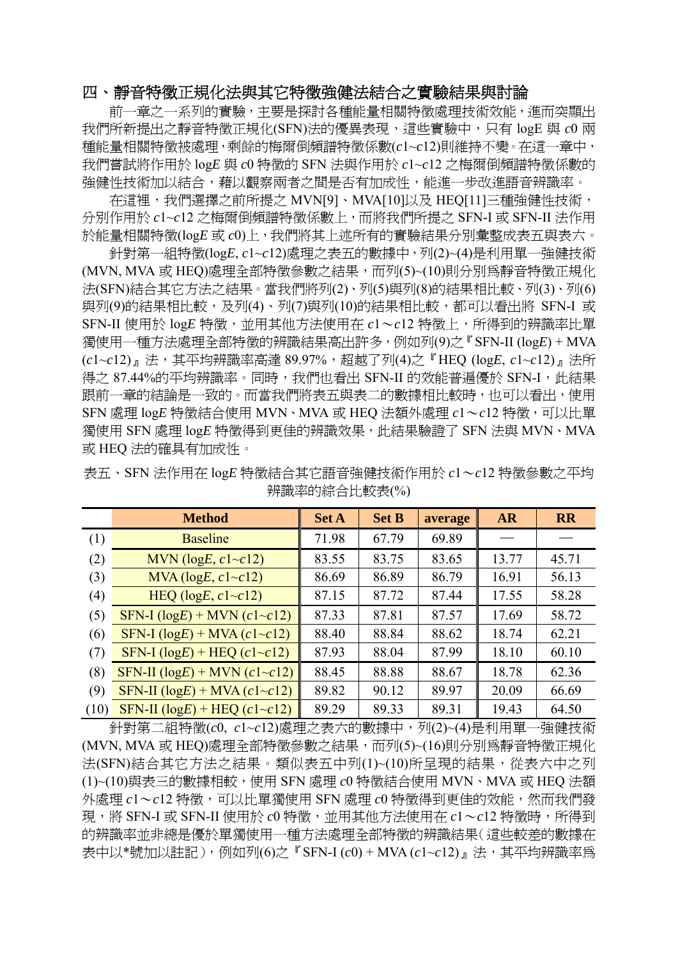# 四、靜音特徵正規化法與其它特徵強健法結合之實驗結果與討論

前一章之一系列的實驗,主要是探討各種能量相關特徵處理技術效能,進而突顯出 我們所新提出之靜音特徵正規化(SFN)法的優異表現,這些實驗中,只有 logE 與 *c*0 兩 種能量相關特徵被處理,剩餘的梅爾倒頻譜特徵係數(*c*1~*c*12)則維持不變。在這一章中, 我們嘗試將作用於 log*E* 與 *c*0 特徵的 SFN 法與作用於 *c*1~*c*12 之梅爾倒頻譜特徵係數的 強健性技術加以結合,藉以觀察兩者之間是否有加成性,能進一步改進語音辨識率。

在這裡,我們選擇之前所提之 MVN[9]、MVA[10]以及 HEQ[11]三種強健性技術, 分別作用於 *c*1~*c*12 之梅爾倒頻譜特徵係數上,而將我們所提之 SFN-I 或 SFN-II 法作用 於能量相關特徵(log*E* 或 *c*0)上,我們將其上述所有的實驗結果分別彙整成表五與表六。

針對第一組特徵(log*E*, *c*1~*c*12)處理之表五的數據中,列(2)~(4)是利用單一強健技術 (MVN, MVA 或 HEQ)處理全部特徵參數之結果,而列(5)~(10)則分別為靜音特徵正規化 法(SFN)結合其它方法之結果。當我們將列(2)、列(5)與列(8)的結果相比較、列(3)、列(6) 與列(9)的結果相比較,及列(4)、列(7)與列(10)的結果相比較,都可以看出將 SFN-I 或 SFN-II 使用於 logE 特徵,並用其他方法使用在  $c1 \sim c12$  特徵上,所得到的辨識率比單 獨使用一種方法處理全部特徵的辨識結果高出許多,例如列(9)之『SFN-II (log*E*) + MVA (*c*1~*c*12)』法,其平均辨識率高達 89.97%,超越了列(4)之『HEQ (log*E*, *c*1~*c*12)』法所 得之 87.44%的平均辨識率。同時,我們也看出 SFN-II 的效能普遍優於 SFN-I,此結果 跟前一章的結論是一致的。而當我們將表五與表二的數據相比較時,也可以看出,使用 SFN 處理 log*E* 特徵結合使用 MVN、MVA 或 HEQ 法額外處理 *c*1~*c*12 特徵,可以比單 獨使用 SFN 處理 log*E* 特徵得到更佳的辨識效果,此結果驗證了 SFN 法與 MVN、MVA 或 HEQ 法的確具有加成性。

|      | <b>Method</b>                          | <b>Set A</b> | <b>Set B</b> | average | <b>AR</b> | <b>RR</b> |
|------|----------------------------------------|--------------|--------------|---------|-----------|-----------|
| (1)  | <b>Baseline</b>                        | 71.98        | 67.79        | 69.89   |           |           |
| (2)  | MVN ( $logE$ , $c1 \sim c12$ )         | 83.55        | 83.75        | 83.65   | 13.77     | 45.71     |
| (3)  | MVA ( $logE$ , $c1 \sim c12$ )         | 86.69        | 86.89        | 86.79   | 16.91     | 56.13     |
| (4)  | HEQ ( $logE$ , $c1 \sim c12$ )         | 87.15        | 87.72        | 87.44   | 17.55     | 58.28     |
| (5)  | SFN-I $(log E)$ + MVN $(c1 \sim c12)$  | 87.33        | 87.81        | 87.57   | 17.69     | 58.72     |
| (6)  | SFN-I $(log E)$ + MVA $(c1 \sim c12)$  | 88.40        | 88.84        | 88.62   | 18.74     | 62.21     |
| (7)  | SFN-I $(log E)$ + HEQ $(c1 \sim c12)$  | 87.93        | 88.04        | 87.99   | 18.10     | 60.10     |
| (8)  | SFN-II $(log E)$ + MVN $(c1 \sim c12)$ | 88.45        | 88.88        | 88.67   | 18.78     | 62.36     |
| (9)  | SFN-II $(log E)$ + MVA $(c1 \sim c12)$ | 89.82        | 90.12        | 89.97   | 20.09     | 66.69     |
| (10) | SFN-II $(logE)$ + HEQ $(c1 \sim c12)$  | 89.29        | 89.33        | 89.31   | 19.43     | 64.50     |

表五、SFN 法作用在 log*E* 特徵結合其它語音強健技術作用於 *c*1~*c*12 特徵參數之平均 辨識率的綜合比較表(%)

針對第二組特徵(*c*0, *c*1~*c*12)處理之表六的數據中,列(2)~(4)是利用單一強健技術 (MVN, MVA 或 HEQ)處理全部特徵參數之結果,而列(5)~(16)則分別為靜音特徵正規化 法(SFN)結合其它方法之結果。類似表五中列(1)~(10)所呈現的結果,從表六中之列 (1)~(10)與表三的數據相較,使用 SFN 處理 *c*0 特徵結合使用 MVN、MVA 或 HEQ 法額 外處理  $c1\!\sim\!c12$  特徵,可以比單獨使用 SFN 處理  $c0$  特徵得到更佳的效能,然而我們發 現,將 SFN-I 或 SFN-II 使用於  $c0$  特徵, 並用其他方法使用在  $c1 \sim c12$  特徵時, 所得到 的辨識率並非總是優於單獨使用一種方法處理全部特徵的辨識結果(這些較差的數據在 表中以\*號加以註記),例如列(6)之『SFN-I (*c*0) + MVA (*c*1~*c*12)』法,其平均辨識率為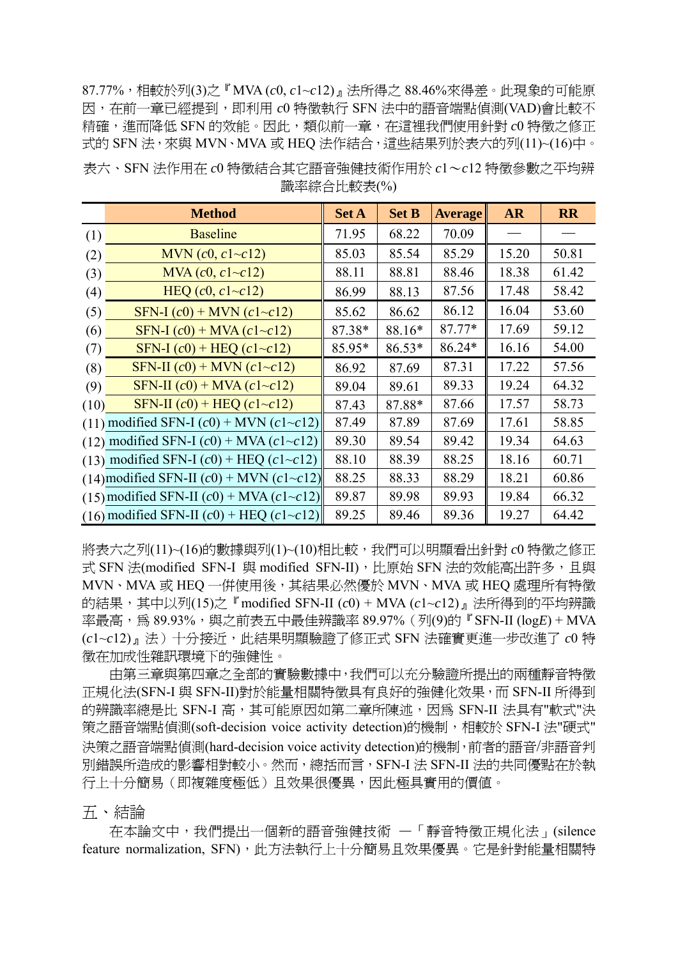87.77%,相較於列(3)之『MVA (*c*0, *c*1~*c*12)』法所得之 88.46%來得差。此現象的可能原 因,在前一章已經提到,即利用 *c*0 特徵執行 SFN 法中的語音端點偵測(VAD)會比較不 精確,進而降低 SFN 的效能。因此,類似前一章,在這裡我們使用針對 *c*0 特徵之修正 式的 SFN 法,來與 MVN、MVA 或 HEQ 法作結合,這些結果列於表六的列(11)~(16)中。

| 表六、SFN 法作用在 c0 特徵結合其它語音強健技術作用於 c1~c12 特徵參數之平均辨 |  |
|------------------------------------------------|--|
| 識率綜合比較表(%)                                     |  |

|      | <b>Method</b>                                       | <b>Set A</b> | <b>Set B</b> | <b>Average</b> | <b>AR</b> | <b>RR</b> |
|------|-----------------------------------------------------|--------------|--------------|----------------|-----------|-----------|
| (1)  | <b>Baseline</b>                                     | 71.95        | 68.22        | 70.09          |           |           |
| (2)  | MVN $(c0, c1 \sim c12)$                             | 85.03        | 85.54        | 85.29          | 15.20     | 50.81     |
| (3)  | $MVA$ (c0, c1~c12)                                  | 88.11        | 88.81        | 88.46          | 18.38     | 61.42     |
| (4)  | HEQ $(c0, c1 \sim c12)$                             | 86.99        | 88.13        | 87.56          | 17.48     | 58.42     |
| (5)  | SFN-I $(c0)$ + MVN $(c1 \sim c12)$                  | 85.62        | 86.62        | 86.12          | 16.04     | 53.60     |
| (6)  | $SFN-I (c0) + MVA (c1~c12)$                         | 87.38*       | 88.16*       | $87.77*$       | 17.69     | 59.12     |
| (7)  | SFN-I $(c0)$ + HEQ $(c1 \sim c12)$                  | 85.95*       | 86.53*       | $86.24*$       | 16.16     | 54.00     |
| (8)  | SFN-II $(c0)$ + MVN $(c1 \sim c12)$                 | 86.92        | 87.69        | 87.31          | 17.22     | 57.56     |
| (9)  | SFN-II $(c0)$ + MVA $(c1 \sim c12)$                 | 89.04        | 89.61        | 89.33          | 19.24     | 64.32     |
| (10) | SFN-II $(c0)$ + HEQ $(c1 \sim c12)$                 | 87.43        | 87.88*       | 87.66          | 17.57     | 58.73     |
|      | (11) modified SFN-I $(c0)$ + MVN $(c1 \sim c12)$    | 87.49        | 87.89        | 87.69          | 17.61     | 58.85     |
|      | (12) modified SFN-I $(c0)$ + MVA $(c1 \sim c12)$    | 89.30        | 89.54        | 89.42          | 19.34     | 64.63     |
|      | (13) modified SFN-I $(c0)$ + HEQ $(c1 \sim c12)$    | 88.10        | 88.39        | 88.25          | 18.16     | 60.71     |
|      | (14) modified SFN-II $(c0)$ + MVN $(c1 \sim c12)$   | 88.25        | 88.33        | 88.29          | 18.21     | 60.86     |
|      | $(15)$ modified SFN-II $(c0)$ + MVA $(c1 \sim c12)$ | 89.87        | 89.98        | 89.93          | 19.84     | 66.32     |
|      | (16) modified SFN-II $(c0)$ + HEQ $(c1 \sim c12)$   | 89.25        | 89.46        | 89.36          | 19.27     | 64.42     |

將表六之列(11)~(16)的數據與列(1)~(10)相比較,我們可以明顯看出針對 *c*0 特徵之修正 式 SFN 法(modified SFN-I 與 modified SFN-II),比原始 SFN 法的效能高出許多,且與 MVN、MVA 或 HEQ 一併使用後,其結果必然優於 MVN、MVA 或 HEQ 處理所有特徵 的結果,其中以列(15)之『modified SFN-II (*c*0) + MVA (*c*1~*c*12)』法所得到的平均辨識 率最高,為 89.93%,與之前表五中最佳辨識率 89.97% (列(9)的『SFN-II (logE) + MVA (*c*1~*c*12)』法)十分接近,此結果明顯驗證了修正式 SFN 法確實更進一步改進了 *c*0 特 徵在加成性雜訊環境下的強健性。

由第三章與第四章之全部的實驗數據中,我們可以充分驗證所提出的兩種靜音特徵 正規化法(SFN-I 與 SFN-II)對於能量相關特徵具有良好的強健化效果,而 SFN-II 所得到 的辨識率總是比 SFN-I 高,其可能原因如第二章所陳述,因為 SFN-II 法具有"軟式"決 策之語音端點偵測(soft-decision voice activity detection)的機制,相較於 SFN-I 法"硬式" 決策之語音端點偵測(hard-decision voice activity detection)的機制,前者的語音/非語音判 別錯誤所造成的影響相對較小。然而,總括而言,SFN-I 法 SFN-II 法的共同優點在於執 行上十分簡易(即複雜度極低)且效果很優異,因此極具實用的價值。

五、結論

在本論文中,我們提出一個新的語音強健技術 —「靜音特徵正規化法」(silence feature normalization, SFN),此方法執行上十分簡易且效果優異。它是針對能量相關特